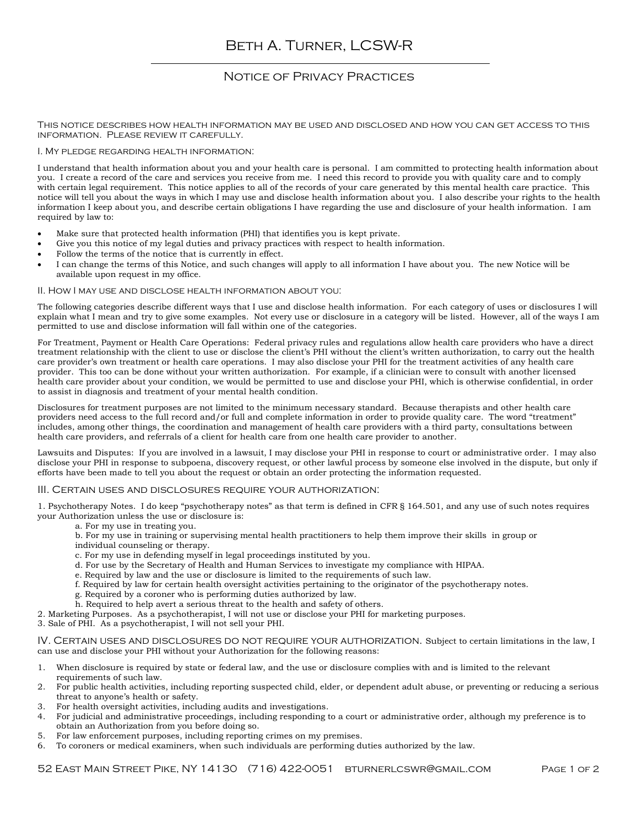# Notice of Privacy Practices

This notice describes how health information may be used and disclosed and how you can get access to this information. Please review it carefully.

### I. My pledge regarding health information:

I understand that health information about you and your health care is personal. I am committed to protecting health information about you. I create a record of the care and services you receive from me. I need this record to provide you with quality care and to comply with certain legal requirement. This notice applies to all of the records of your care generated by this mental health care practice. This notice will tell you about the ways in which I may use and disclose health information about you. I also describe your rights to the health information I keep about you, and describe certain obligations I have regarding the use and disclosure of your health information. I am required by law to:

- Make sure that protected health information (PHI) that identifies you is kept private.
- Give you this notice of my legal duties and privacy practices with respect to health information.
- Follow the terms of the notice that is currently in effect.
- I can change the terms of this Notice, and such changes will apply to all information I have about you. The new Notice will be available upon request in my office.

### II. How I may use and disclose health information about you:

The following categories describe different ways that I use and disclose health information. For each category of uses or disclosures I will explain what I mean and try to give some examples. Not every use or disclosure in a category will be listed. However, all of the ways I am permitted to use and disclose information will fall within one of the categories.

For Treatment, Payment or Health Care Operations: Federal privacy rules and regulations allow health care providers who have a direct treatment relationship with the client to use or disclose the client's PHI without the client's written authorization, to carry out the health care provider's own treatment or health care operations. I may also disclose your PHI for the treatment activities of any health care provider. This too can be done without your written authorization. For example, if a clinician were to consult with another licensed health care provider about your condition, we would be permitted to use and disclose your PHI, which is otherwise confidential, in order to assist in diagnosis and treatment of your mental health condition.

Disclosures for treatment purposes are not limited to the minimum necessary standard. Because therapists and other health care providers need access to the full record and/or full and complete information in order to provide quality care. The word "treatment" includes, among other things, the coordination and management of health care providers with a third party, consultations between health care providers, and referrals of a client for health care from one health care provider to another.

Lawsuits and Disputes: If you are involved in a lawsuit, I may disclose your PHI in response to court or administrative order. I may also disclose your PHI in response to subpoena, discovery request, or other lawful process by someone else involved in the dispute, but only if efforts have been made to tell you about the request or obtain an order protecting the information requested.

#### III. Certain uses and disclosures require your authorization:

1. Psychotherapy Notes. I do keep "psychotherapy notes" as that term is defined in CFR § 164.501, and any use of such notes requires your Authorization unless the use or disclosure is:

- a. For my use in treating you.
- b. For my use in training or supervising mental health practitioners to help them improve their skills in group or individual counseling or therapy.
- c. For my use in defending myself in legal proceedings instituted by you.
- d. For use by the Secretary of Health and Human Services to investigate my compliance with HIPAA.
- e. Required by law and the use or disclosure is limited to the requirements of such law.
- f. Required by law for certain health oversight activities pertaining to the originator of the psychotherapy notes.
- g. Required by a coroner who is performing duties authorized by law.
- h. Required to help avert a serious threat to the health and safety of others.
- 2. Marketing Purposes. As a psychotherapist, I will not use or disclose your PHI for marketing purposes.
- 3. Sale of PHI. As a psychotherapist, I will not sell your PHI.

IV. CERTAIN USES AND DISCLOSURES DO NOT REQUIRE YOUR AUTHORIZATION. Subject to certain limitations in the law, I can use and disclose your PHI without your Authorization for the following reasons:

- 1. When disclosure is required by state or federal law, and the use or disclosure complies with and is limited to the relevant requirements of such law.
- 2. For public health activities, including reporting suspected child, elder, or dependent adult abuse, or preventing or reducing a serious threat to anyone's health or safety.
- 3. For health oversight activities, including audits and investigations.
- 4. For judicial and administrative proceedings, including responding to a court or administrative order, although my preference is to obtain an Authorization from you before doing so.
- 5. For law enforcement purposes, including reporting crimes on my premises.
- 6. To coroners or medical examiners, when such individuals are performing duties authorized by the law.